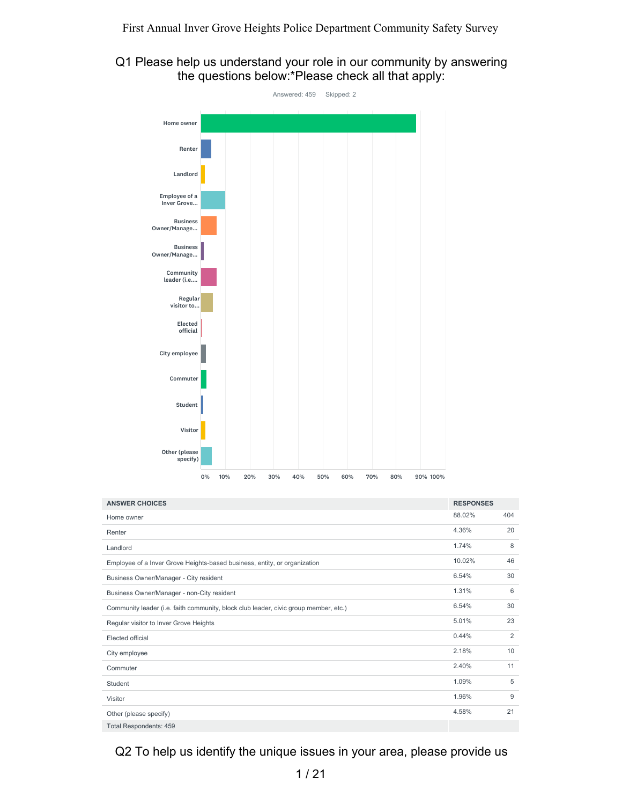# Q1 Please help us understand your role in our community by answering the questions below:\*Please check all that apply:



| <b>ANSWER CHOICES</b>                                                                | <b>RESPONSES</b> |     |
|--------------------------------------------------------------------------------------|------------------|-----|
| Home owner                                                                           | 88.02%           | 404 |
| Renter                                                                               | 4.36%            | 20  |
| Landlord                                                                             | 1.74%            | 8   |
| Employee of a Inver Grove Heights-based business, entity, or organization            | 10.02%           | 46  |
| Business Owner/Manager - City resident                                               | 6.54%            | 30  |
| Business Owner/Manager - non-City resident                                           | 1.31%            | 6   |
| Community leader (i.e. faith community, block club leader, civic group member, etc.) | 6.54%            | 30  |
| Regular visitor to Inver Grove Heights                                               | 5.01%            | 23  |
| Elected official                                                                     | 0.44%            | 2   |
| City employee                                                                        | 2.18%            | 10  |
| Commuter                                                                             | 2.40%            | 11  |
| Student                                                                              | 1.09%            | 5   |
| Visitor                                                                              | 1.96%            | 9   |
| Other (please specify)                                                               | 4.58%            | 21  |
| <b>Total Respondents: 459</b>                                                        |                  |     |

Q2 To help us identify the unique issues in your area, please provide us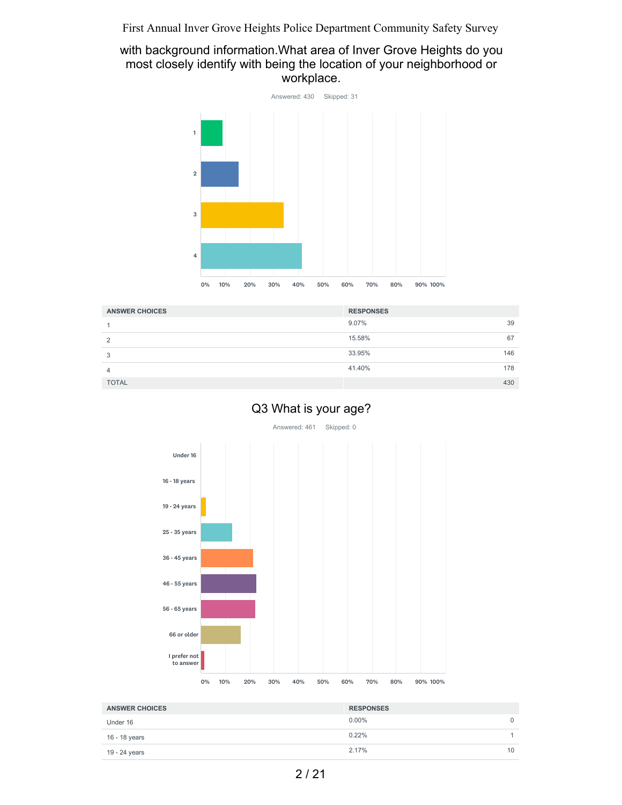### with background information.What area of Inver Grove Heights do you most closely identify with being the location of your neighborhood or workplace.



| <b>ANSWER CHOICES</b> | <b>RESPONSES</b> |  |
|-----------------------|------------------|--|
|                       | $9.07\%$<br>39   |  |
| $\mathcal{D}$         | 15.58%<br>67     |  |
| 3                     | 33.95%<br>146    |  |
| 4                     | 41.40%<br>178    |  |
| <b>TOTAL</b>          | 430              |  |

# Q3 What is your age?





| <b>ANSWER CHOICES</b> | <b>RESPONSES</b> |    |
|-----------------------|------------------|----|
| Under 16              | $0.00\%$         |    |
| 16 - 18 years         | 0.22%            |    |
| 19 - 24 years         | 2.17%            | 10 |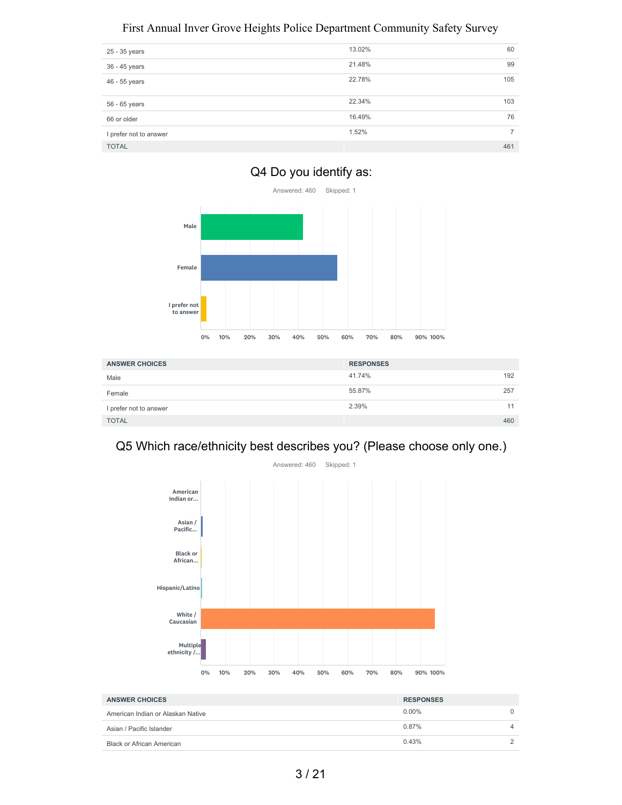| 25 - 35 years          | 13.02% | 60  |
|------------------------|--------|-----|
| 36 - 45 years          | 21.48% | 99  |
| 46 - 55 years          | 22.78% | 105 |
| 56 - 65 years          | 22.34% | 103 |
| 66 or older            | 16.49% | 76  |
| I prefer not to answer | 1.52%  | 7   |
| <b>TOTAL</b>           |        | 461 |





| <b>ANSWER CHOICES</b>  | <b>RESPONSES</b> |     |
|------------------------|------------------|-----|
| Male                   | 41.74%           | 192 |
| Female                 | 55.87%           | 257 |
| I prefer not to answer | 2.39%            | -1  |
| <b>TOTAL</b>           |                  | 460 |

# Q5 Which race/ethnicity best describes you? (Please choose only one.)



| <b>ANSWER CHOICES</b>             | <b>RESPONSES</b> |  |
|-----------------------------------|------------------|--|
| American Indian or Alaskan Native | $0.00\%$         |  |
| Asian / Pacific Islander          | 0.87%            |  |
| <b>Black or African American</b>  | 0.43%            |  |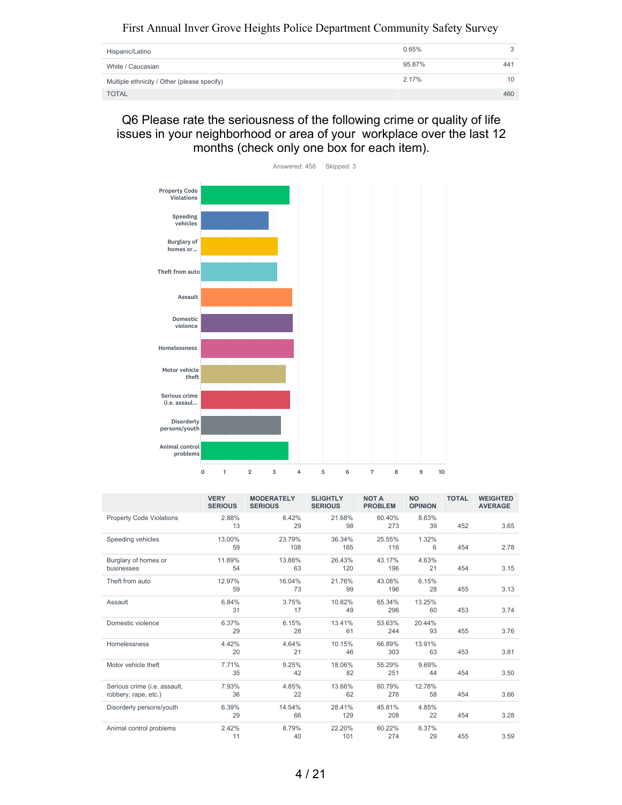| Hispanic/Latino                             | 0.65%  |     |
|---------------------------------------------|--------|-----|
| White / Caucasian                           | 95.87% | 441 |
| Multiple ethnicity / Other (please specify) | 2.17%  | 10  |
| <b>TOTAL</b>                                |        | 460 |

Q6 Please rate the seriousness of the following crime or quality of life issues in your neighborhood or area of your workplace over the last 12 months (check only one box for each item).



|                                                      | <b>VERY</b><br><b>SERIOUS</b> | <b>MODERATELY</b><br><b>SERIOUS</b> | <b>SLIGHTLY</b><br><b>SERIOUS</b> | <b>NOT A</b><br><b>PROBLEM</b> | <b>NO</b><br><b>OPINION</b> | <b>TOTAL</b> | <b>WEIGHTED</b><br><b>AVERAGE</b> |
|------------------------------------------------------|-------------------------------|-------------------------------------|-----------------------------------|--------------------------------|-----------------------------|--------------|-----------------------------------|
| <b>Property Code Violations</b>                      | 2.88%<br>13                   | 6.42%<br>29                         | 21.68%<br>98                      | 60.40%<br>273                  | 8.63%<br>39                 | 452          | 3.65                              |
| Speeding vehicles                                    | 13.00%<br>59                  | 23.79%<br>108                       | 36.34%<br>165                     | 25.55%<br>116                  | 1.32%<br>6                  | 454          | 2.78                              |
| Burglary of homes or<br>businesses                   | 11.89%<br>54                  | 13.88%<br>63                        | 26.43%<br>120                     | 43.17%<br>196                  | 4.63%<br>21                 | 454          | 3.15                              |
| Theft from auto                                      | 12.97%<br>59                  | 16.04%<br>73                        | 21.76%<br>99                      | 43.08%<br>196                  | 6.15%<br>28                 | 455          | 3.13                              |
| Assault                                              | 6.84%<br>31                   | 3.75%<br>17                         | 10.82%<br>49                      | 65.34%<br>296                  | 13.25%<br>60                | 453          | 3.74                              |
| Domestic violence                                    | 6.37%<br>29                   | 6.15%<br>28                         | 13.41%<br>61                      | 53.63%<br>244                  | 20.44%<br>93                | 455          | 3.76                              |
| Homelessness                                         | 4.42%<br>20                   | 4.64%<br>21                         | 10.15%<br>46                      | 66.89%<br>303                  | 13.91%<br>63                | 453          | 3.81                              |
| Motor vehicle theft                                  | 7.71%<br>35                   | 9.25%<br>42                         | 18.06%<br>82                      | 55.29%<br>251                  | 9.69%<br>44                 | 454          | 3.50                              |
| Serious crime (i.e. assault,<br>robbery, rape, etc.) | 7.93%<br>36                   | 4.85%<br>22                         | 13.66%<br>62                      | 60.79%<br>276                  | 12.78%<br>58                | 454          | 3.66                              |
| Disorderly persons/youth                             | 6.39%<br>29                   | 14.54%<br>66                        | 28.41%<br>129                     | 45.81%<br>208                  | 4.85%<br>22                 | 454          | 3.28                              |
| Animal control problems                              | 2.42%<br>11                   | 8.79%<br>40                         | 22.20%<br>101                     | 60.22%<br>274                  | 6.37%<br>29                 | 455          | 3.59                              |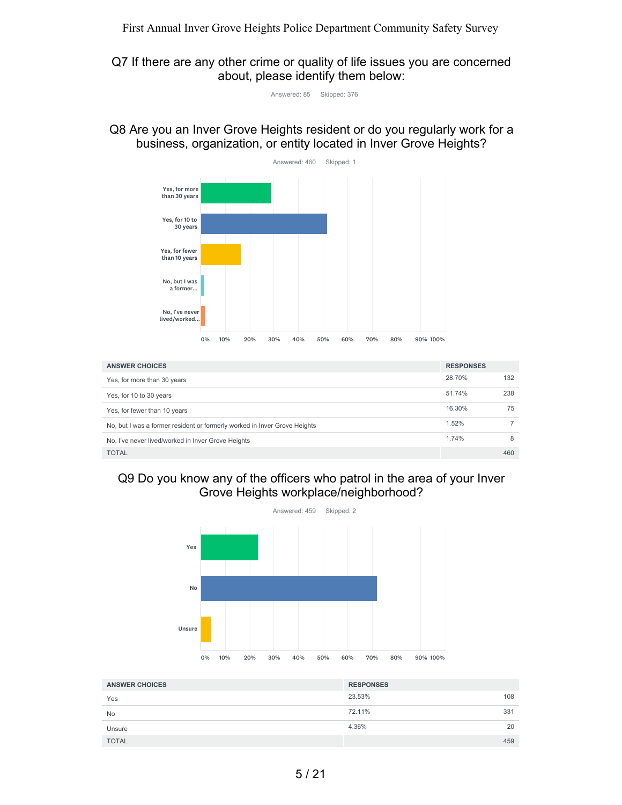Q7 If there are any other crime or quality of life issues you are concerned about, please identify them below:

Answered: 85 Skipped: 376

Q8 Are you an Inver Grove Heights resident or do you regularly work for a business, organization, or entity located in Inver Grove Heights?



| <b>ANSWER CHOICES</b>                                                     | <b>RESPONSES</b> |     |
|---------------------------------------------------------------------------|------------------|-----|
| Yes, for more than 30 years                                               | 28.70%           | 132 |
| Yes, for 10 to 30 years                                                   | 51.74%           | 238 |
| Yes, for fewer than 10 years                                              | 16.30%           | 75  |
| No, but I was a former resident or formerly worked in Inver Grove Heights | 1.52%            |     |
| No, I've never lived/worked in Inver Grove Heights                        | 1.74%            | 8   |
| <b>TOTAL</b>                                                              |                  | 460 |

# Q9 Do you know any of the officers who patrol in the area of your Inver Grove Heights workplace/neighborhood?



| <b>ANSWER CHOICES</b> | <b>RESPONSES</b> |    |
|-----------------------|------------------|----|
| Yes                   | 23.53%<br>108    |    |
| No                    | 72.11%<br>331    |    |
| Unsure                | 4.36%            | 20 |
| <b>TOTAL</b>          | 459              |    |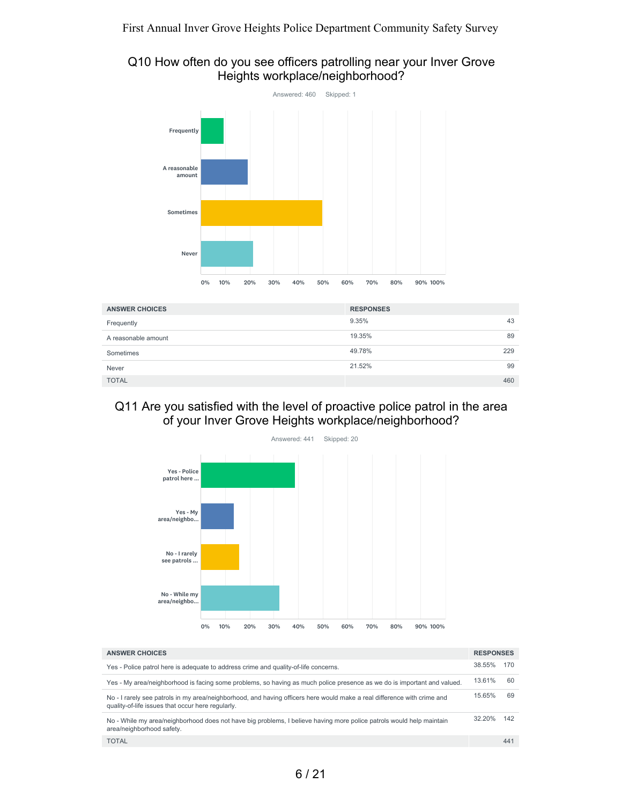### Q10 How often do you see officers patrolling near your Inver Grove Heights workplace/neighborhood?



| <b>ANSWER CHOICES</b> | <b>RESPONSES</b> |     |
|-----------------------|------------------|-----|
| Frequently            | 9.35%            | 43  |
| A reasonable amount   | 19.35%           | 89  |
| Sometimes             | 49.78%           | 229 |
| Never                 | 21.52%           | 99  |
| <b>TOTAL</b>          |                  | 460 |

## Q11 Are you satisfied with the level of proactive police patrol in the area of your Inver Grove Heights workplace/neighborhood?



| <b>ANSWER CHOICES</b>                                                                                                                                                        | <b>RESPONSES</b> |     |
|------------------------------------------------------------------------------------------------------------------------------------------------------------------------------|------------------|-----|
| Yes - Police patrol here is adequate to address crime and quality-of-life concerns.                                                                                          | 38.55%           | 170 |
| Yes - My area/neighborhood is facing some problems, so having as much police presence as we do is important and valued.                                                      | 13.61%           | 60  |
| No - I rarely see patrols in my area/neighborhood, and having officers here would make a real difference with crime and<br>quality-of-life issues that occur here regularly. | 15.65%           | 69  |
| No - While my area/neighborhood does not have big problems, I believe having more police patrols would help maintain<br>area/neighborhood safety.                            | 32.20%           | 142 |
| <b>TOTAL</b>                                                                                                                                                                 |                  | 441 |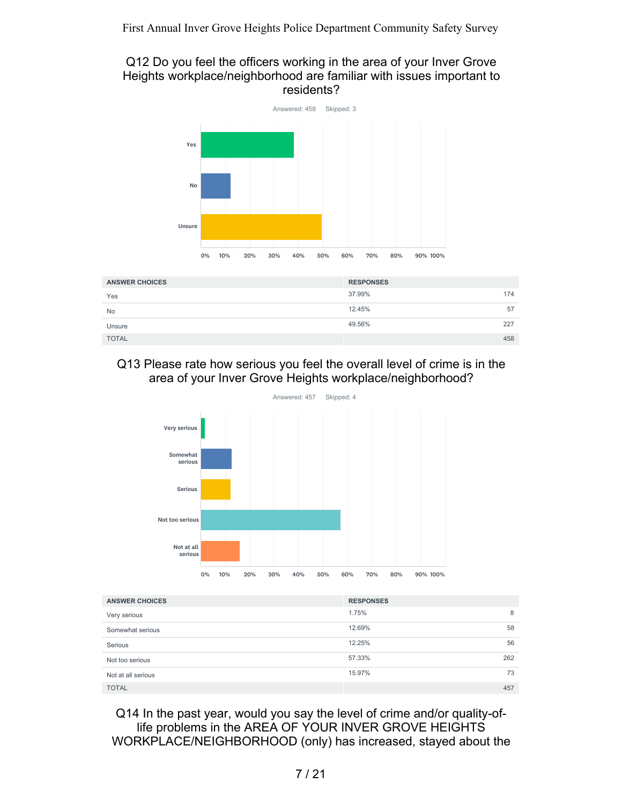## Q12 Do you feel the officers working in the area of your Inver Grove Heights workplace/neighborhood are familiar with issues important to residents?



| <b>ANSWER CHOICES</b> | <b>RESPONSES</b> |     |
|-----------------------|------------------|-----|
| Yes                   | 37.99%           | 174 |
| <b>No</b>             | 12.45%           | 57  |
| Unsure                | 49.56%           | 227 |
| <b>TOTAL</b>          |                  | 458 |

## Q13 Please rate how serious you feel the overall level of crime is in the area of your Inver Grove Heights workplace/neighborhood?



| <b>ANSWER CHOICES</b> | <b>RESPONSES</b> |     |
|-----------------------|------------------|-----|
| Very serious          | 1.75%            | 8   |
| Somewhat serious      | 12.69%           | 58  |
| Serious               | 12.25%           | 56  |
| Not too serious       | 57.33%           | 262 |
| Not at all serious    | 15.97%           | 73  |
| <b>TOTAL</b>          |                  | 457 |

Q14 In the past year, would you say the level of crime and/or quality-oflife problems in the AREA OF YOUR INVER GROVE HEIGHTS WORKPLACE/NEIGHBORHOOD (only) has increased, stayed about the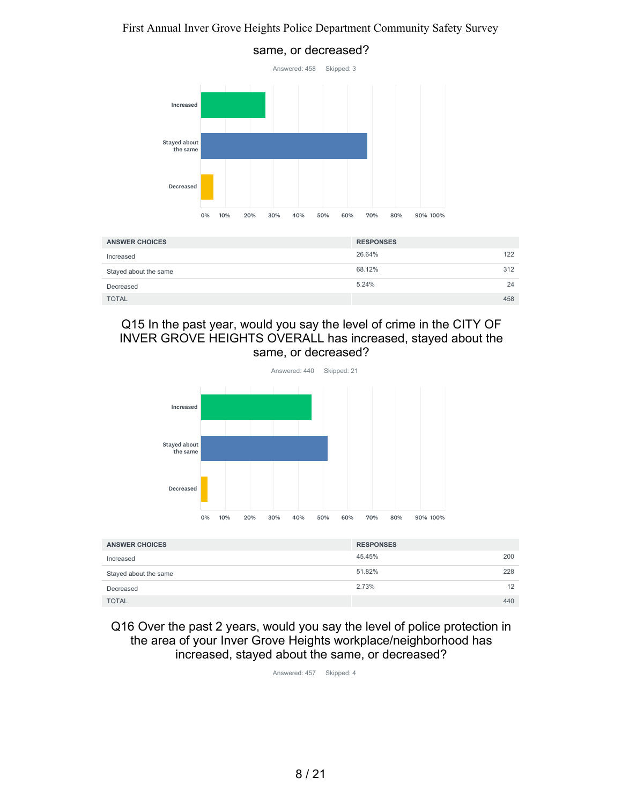

## Q15 In the past year, would you say the level of crime in the CITY OF INVER GROVE HEIGHTS OVERALL has increased, stayed about the same, or decreased?

TOTAL 458

Decreased



| <b>ANSWER CHOICES</b> | <b>RESPONSES</b> |     |
|-----------------------|------------------|-----|
| Increased             | 45.45%           | 200 |
| Stayed about the same | 51.82%           | 228 |
| Decreased             | 2.73%            | 12  |
| <b>TOTAL</b>          |                  | 440 |

Q16 Over the past 2 years, would you say the level of police protection in the area of your Inver Grove Heights workplace/neighborhood has increased, stayed about the same, or decreased?

Answered: 457 Skipped: 4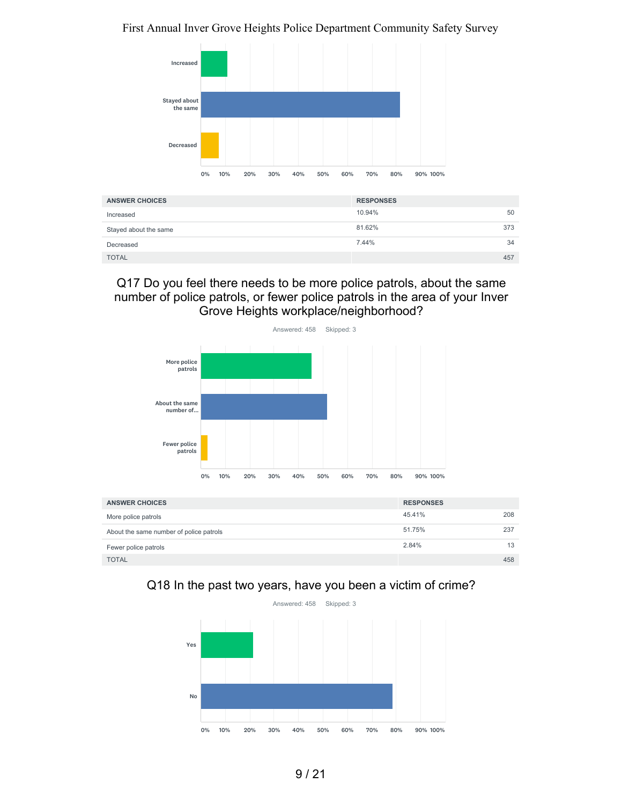

| <b>ANSWER CHOICES</b> | <b>RESPONSES</b> |     |
|-----------------------|------------------|-----|
| Increased             | 10.94%           | 50  |
| Stayed about the same | 81.62%           | 373 |
| Decreased             | 7.44%            | 34  |
| <b>TOTAL</b>          |                  | 457 |

## Q17 Do you feel there needs to be more police patrols, about the same number of police patrols, or fewer police patrols in the area of your Inver Grove Heights workplace/neighborhood?



| <b>ANSWER CHOICES</b>                   | <b>RESPONSES</b> |     |
|-----------------------------------------|------------------|-----|
| More police patrols                     | 45.41%           | 208 |
| About the same number of police patrols | 51.75%           | 237 |
| Fewer police patrols                    | 2.84%            | 13  |
| <b>TOTAL</b>                            |                  | 458 |

# Q18 In the past two years, have you been a victim of crime?

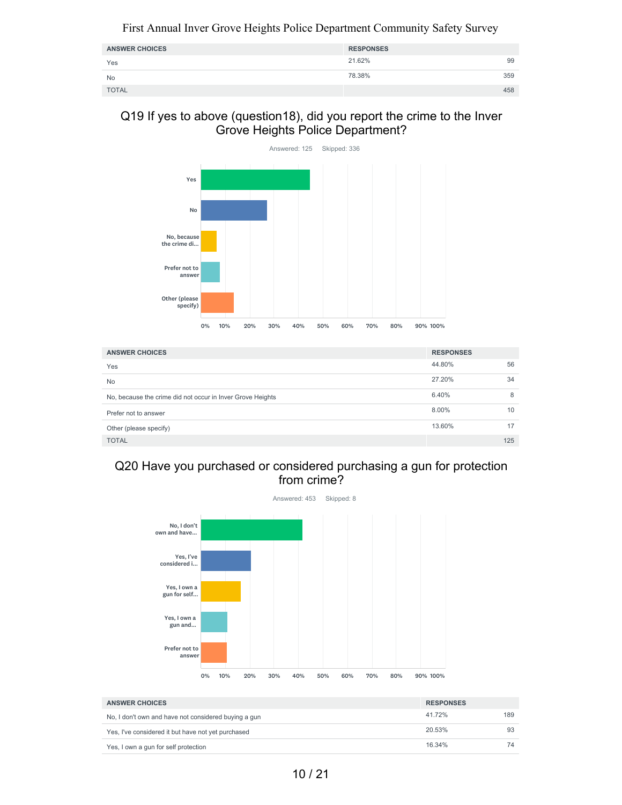| <b>ANSWER CHOICES</b> | <b>RESPONSES</b> |     |
|-----------------------|------------------|-----|
| Yes                   | 21.62%           | 99  |
| <b>No</b>             | 78.38%           | 359 |
| <b>TOTAL</b>          |                  | 458 |

### Q19 If yes to above (question18), did you report the crime to the Inver Grove Heights Police Department?



| <b>ANSWER CHOICES</b>                                      | <b>RESPONSES</b> |     |
|------------------------------------------------------------|------------------|-----|
| Yes                                                        | 44.80%           | 56  |
| <b>No</b>                                                  | 27.20%           | 34  |
| No, because the crime did not occur in Inver Grove Heights | 6.40%            | 8   |
| Prefer not to answer                                       | 8.00%            | 10  |
| Other (please specify)                                     | 13.60%           |     |
| <b>TOTAL</b>                                               |                  | 125 |

# Q20 Have you purchased or considered purchasing a gun for protection from crime?



| <b>ANSWER CHOICES</b>                                | <b>RESPONSES</b> |     |
|------------------------------------------------------|------------------|-----|
| No, I don't own and have not considered buying a gun | 41.72%           | 189 |
| Yes, I've considered it but have not yet purchased   | 20.53%           | 93  |
| Yes, I own a gun for self protection                 | 16.34%           | 74  |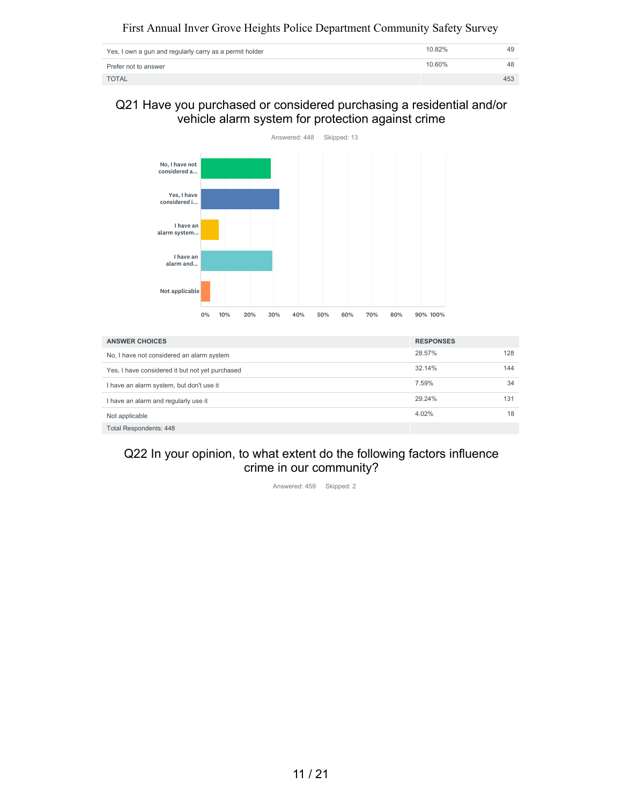| Yes, I own a gun and regularly carry as a permit holder | 10.82% | 49  |
|---------------------------------------------------------|--------|-----|
| Prefer not to answer                                    | 10.60% | 48  |
| <b>TOTAL</b>                                            |        | 453 |

Q21 Have you purchased or considered purchasing a residential and/or vehicle alarm system for protection against crime



| <b>ANSWER CHOICES</b>                           | <b>RESPONSES</b> |     |
|-------------------------------------------------|------------------|-----|
| No, I have not considered an alarm system       | 28.57%           | 128 |
| Yes, I have considered it but not yet purchased | 32.14%           | 144 |
| I have an alarm system, but don't use it        | 7.59%            | 34  |
| I have an alarm and regularly use it            | 29.24%           | 131 |
| Not applicable                                  | 4.02%            | 18  |
| Total Respondents: 448                          |                  |     |

## Q22 In your opinion, to what extent do the following factors influence crime in our community?

Answered: 459 Skipped: 2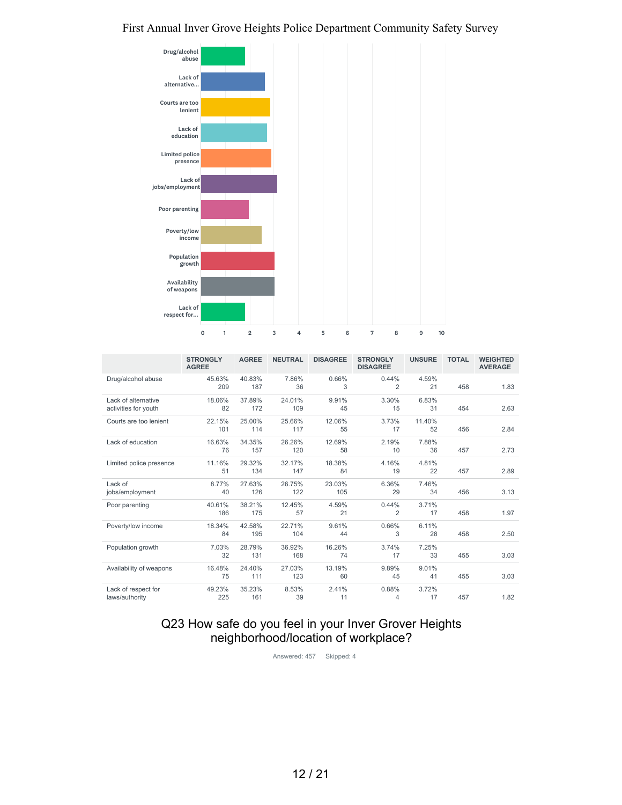

|                                             | <b>STRONGLY</b><br><b>AGREE</b> | <b>AGREE</b>  | <b>NEUTRAL</b> | <b>DISAGREE</b> | <b>STRONGLY</b><br><b>DISAGREE</b> | <b>UNSURE</b> | <b>TOTAL</b> | <b>WEIGHTED</b><br><b>AVERAGE</b> |
|---------------------------------------------|---------------------------------|---------------|----------------|-----------------|------------------------------------|---------------|--------------|-----------------------------------|
| Drug/alcohol abuse                          | 45.63%<br>209                   | 40.83%<br>187 | 7.86%<br>36    | 0.66%<br>3      | 0.44%<br>2                         | 4.59%<br>21   | 458          | 1.83                              |
| Lack of alternative<br>activities for youth | 18.06%<br>82                    | 37.89%<br>172 | 24.01%<br>109  | 9.91%<br>45     | 3.30%<br>15                        | 6.83%<br>31   | 454          | 2.63                              |
| Courts are too lenient                      | 22.15%<br>101                   | 25.00%<br>114 | 25.66%<br>117  | 12.06%<br>55    | 3.73%<br>17                        | 11.40%<br>52  | 456          | 2.84                              |
| Lack of education                           | 16.63%<br>76                    | 34.35%<br>157 | 26.26%<br>120  | 12.69%<br>58    | 2.19%<br>10                        | 7.88%<br>36   | 457          | 2.73                              |
| Limited police presence                     | 11.16%<br>51                    | 29.32%<br>134 | 32.17%<br>147  | 18.38%<br>84    | 4.16%<br>19                        | 4.81%<br>22   | 457          | 2.89                              |
| Lack of<br>jobs/employment                  | 8.77%<br>40                     | 27.63%<br>126 | 26.75%<br>122  | 23.03%<br>105   | 6.36%<br>29                        | 7.46%<br>34   | 456          | 3.13                              |
| Poor parenting                              | 40.61%<br>186                   | 38.21%<br>175 | 12.45%<br>57   | 4.59%<br>21     | 0.44%<br>2                         | 3.71%<br>17   | 458          | 1.97                              |
| Poverty/low income                          | 18.34%<br>84                    | 42.58%<br>195 | 22.71%<br>104  | 9.61%<br>44     | 0.66%<br>3                         | 6.11%<br>28   | 458          | 2.50                              |
| Population growth                           | 7.03%<br>32                     | 28.79%<br>131 | 36.92%<br>168  | 16.26%<br>74    | 3.74%<br>17                        | 7.25%<br>33   | 455          | 3.03                              |
| Availability of weapons                     | 16.48%<br>75                    | 24.40%<br>111 | 27.03%<br>123  | 13.19%<br>60    | 9.89%<br>45                        | 9.01%<br>41   | 455          | 3.03                              |
| Lack of respect for<br>laws/authority       | 49.23%<br>225                   | 35.23%<br>161 | 8.53%<br>39    | 2.41%<br>11     | 0.88%<br>4                         | 3.72%<br>17   | 457          | 1.82                              |

## Q23 How safe do you feel in your Inver Grover Heights neighborhood/location of workplace?

Answered: 457 Skipped: 4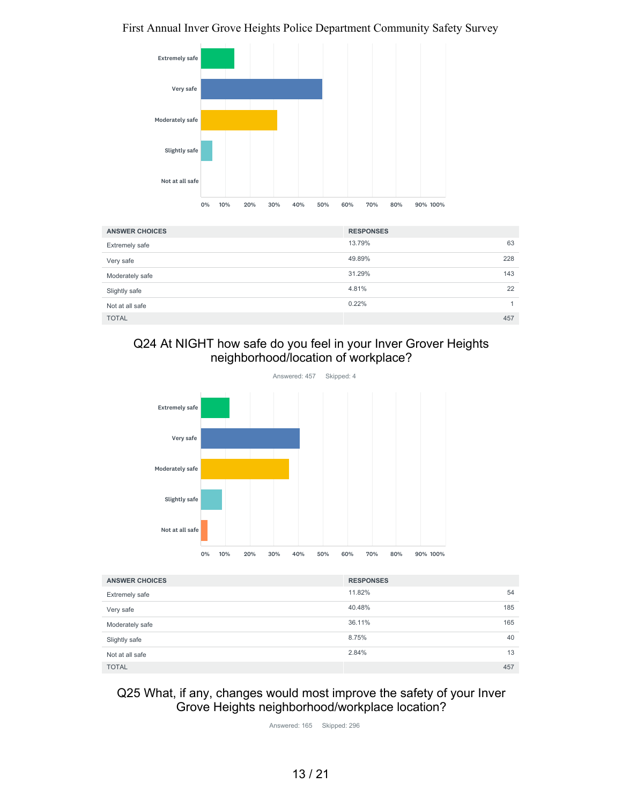

| <b>ANSWER CHOICES</b> | <b>RESPONSES</b> |
|-----------------------|------------------|
| Extremely safe        | 13.79%<br>63     |
| Very safe             | 49.89%<br>228    |
| Moderately safe       | 143<br>31.29%    |
| Slightly safe         | 4.81%<br>22      |
| Not at all safe       | 0.22%            |
| <b>TOTAL</b>          | 457              |

# Q24 At NIGHT how safe do you feel in your Inver Grover Heights neighborhood/location of workplace?



| <b>ANSWER CHOICES</b> | <b>RESPONSES</b> |     |
|-----------------------|------------------|-----|
| <b>Extremely safe</b> | 11.82%           | 54  |
| Very safe             | 40.48%           | 185 |
| Moderately safe       | 36.11%           | 165 |
| Slightly safe         | 8.75%            | 40  |
| Not at all safe       | 2.84%            | 13  |
| <b>TOTAL</b>          |                  | 457 |

## Q25 What, if any, changes would most improve the safety of your Inver Grove Heights neighborhood/workplace location?

Answered: 165 Skipped: 296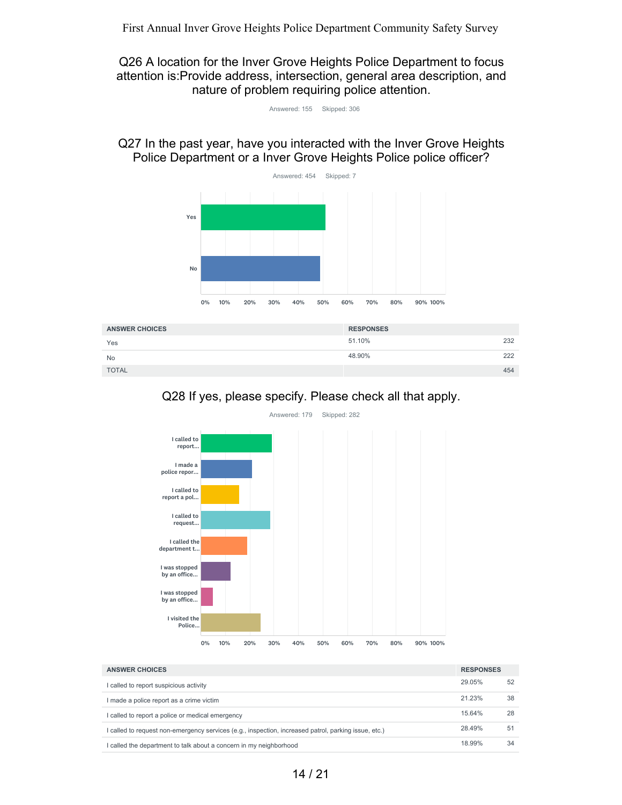Q26 A location for the Inver Grove Heights Police Department to focus attention is:Provide address, intersection, general area description, and nature of problem requiring police attention.

| Answered: 155 | Skipped: 306 |  |
|---------------|--------------|--|
|---------------|--------------|--|

Q27 In the past year, have you interacted with the Inver Grove Heights Police Department or a Inver Grove Heights Police police officer?



| <b>ANSWER CHOICES</b> | <b>RESPONSES</b> |     |
|-----------------------|------------------|-----|
| Yes                   | 51.10%           | 232 |
| <b>No</b>             | 48.90%           | 222 |
| <b>TOTAL</b>          |                  | 454 |





29.05% 52 21.23% 38 15.64% 28 28.49% 51 18.99% 34 **ANSWER CHOICES RESPONSES** I called to report suspicious activity I made a police report as a crime victim I called to report a police or medical emergency I called to request non-emergency services (e.g., inspection, increased patrol, parking issue, etc.) I called the department to talk about a concern in my neighborhood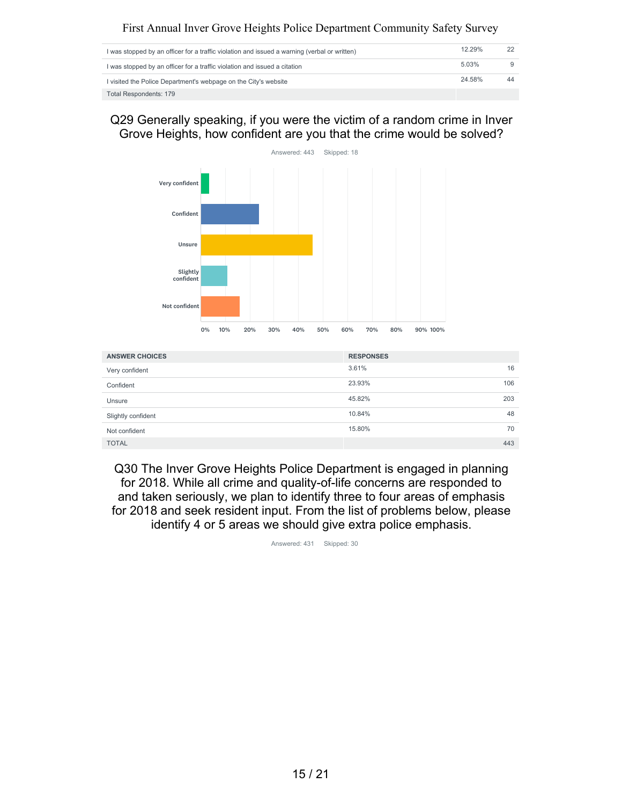| I was stopped by an officer for a traffic violation and issued a warning (verbal or written) | 12.29% |    |
|----------------------------------------------------------------------------------------------|--------|----|
| I was stopped by an officer for a traffic violation and issued a citation                    | 5.03%  |    |
| I visited the Police Department's webpage on the City's website                              | 24.58% | 44 |
| <b>Total Respondents: 179</b>                                                                |        |    |

Q29 Generally speaking, if you were the victim of a random crime in Inver Grove Heights, how confident are you that the crime would be solved?



| <b>ANSWER CHOICES</b> | <b>RESPONSES</b> |
|-----------------------|------------------|
| Very confident        | 3.61%<br>16      |
| Confident             | 23.93%<br>106    |
| Unsure                | 45.82%<br>203    |
| Slightly confident    | 10.84%<br>48     |
| Not confident         | 15.80%<br>70     |
| <b>TOTAL</b>          | 443              |

Q30 The Inver Grove Heights Police Department is engaged in planning for 2018. While all crime and quality-of-life concerns are responded to and taken seriously, we plan to identify three to four areas of emphasis for 2018 and seek resident input. From the list of problems below, please identify 4 or 5 areas we should give extra police emphasis.

Answered: 431 Skipped: 30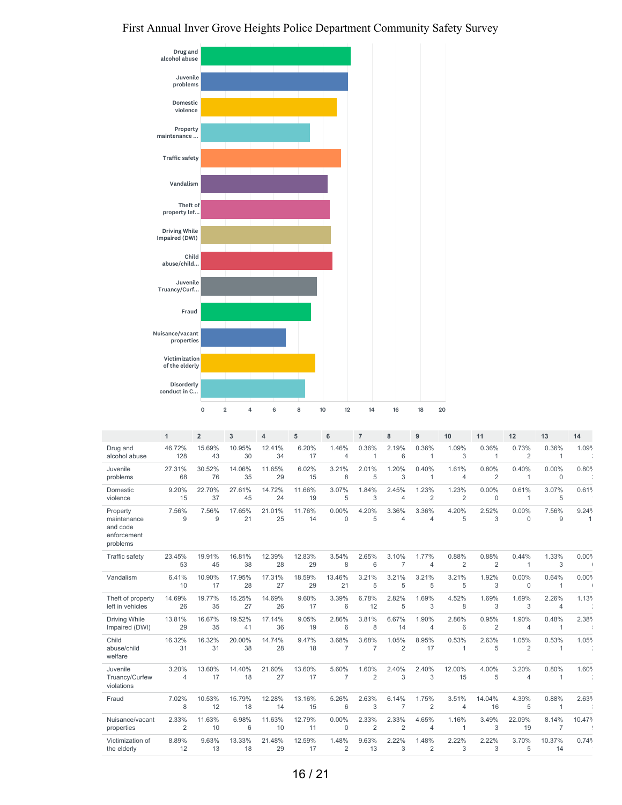

|                                                                | $\mathbf{1}$            | $\overline{2}$ | 3            | 4            | 5            | 6                       | $\overline{7}$          | 8                       | 9                       | 10                      | 11             | 12                      | 13                    | 14             |
|----------------------------------------------------------------|-------------------------|----------------|--------------|--------------|--------------|-------------------------|-------------------------|-------------------------|-------------------------|-------------------------|----------------|-------------------------|-----------------------|----------------|
| Drug and                                                       | 46.72%                  | 15.69%         | 10.95%       | 12.41%       | 6.20%        | 1.46%                   | 0.36%                   | 2.19%                   | 0.36%                   | 1.09%                   | 0.36%          | 0.73%                   | 0.36%                 | 1.09%          |
| alcohol abuse                                                  | 128                     | 43             | 30           | 34           | 17           | $\overline{4}$          | 1                       | 6                       | $\mathbf{1}$            | 3                       | $\mathbf{1}$   | $\overline{2}$          | $\mathbf{1}$          |                |
| Juvenile                                                       | 27.31%                  | 30.52%         | 14.06%       | 11.65%       | 6.02%        | 3.21%                   | 2.01%                   | 1.20%                   | 0.40%                   | 1.61%                   | 0.80%          | 0.40%                   | $0.00\%$              | 0.80%          |
| problems                                                       | 68                      | 76             | 35           | 29           | 15           | 8                       | 5                       | 3                       | $\mathbf{1}$            | $\overline{4}$          | $\overline{2}$ | 1                       | $\mathbf 0$           |                |
| Domestic                                                       | 9.20%                   | 22.70%         | 27.61%       | 14.72%       | 11.66%       | 3.07%                   | 1.84%                   | 2.45%                   | 1.23%                   | 1.23%                   | 0.00%          | 0.61%                   | 3.07%                 | 0.61%          |
| violence                                                       | 15                      | 37             | 45           | 24           | 19           | 5                       | 3                       | $\overline{4}$          | $\overline{2}$          | $\overline{2}$          | $\mathbf 0$    | $\mathbf{1}$            | 5                     |                |
| Property<br>maintenance<br>and code<br>enforcement<br>problems | 7.56%<br>9              | 7.56%<br>9     | 17.65%<br>21 | 21.01%<br>25 | 11.76%<br>14 | 0.00%<br>$\mathbf 0$    | 4.20%<br>5              | 3.36%<br>$\overline{4}$ | 3.36%<br>$\overline{4}$ | 4.20%<br>5              | 2.52%<br>3     | $0.00\%$<br>$\mathbf 0$ | 7.56%<br>9            | 9.24%<br>1     |
| Traffic safety                                                 | 23.45%                  | 19.91%         | 16.81%       | 12.39%       | 12.83%       | 3.54%                   | 2.65%                   | 3.10%                   | 1.77%                   | 0.88%                   | 0.88%          | 0.44%                   | 1.33%                 | 0.00%          |
|                                                                | 53                      | 45             | 38           | 28           | 29           | 8                       | 6                       | 7                       | $\overline{4}$          | $\overline{2}$          | $\overline{2}$ | 1                       | 3                     | $\overline{1}$ |
| Vandalism                                                      | 6.41%<br>10             | 10.90%<br>17   | 17.95%<br>28 | 17.31%<br>27 | 18.59%<br>29 | 13.46%<br>21            | 3.21%<br>5              | 3.21%<br>5              | 3.21%<br>5              | 3.21%<br>5              | 1.92%<br>3     | $0.00\%$<br>0           | 0.64%<br>$\mathbf{1}$ | 0.00%          |
| Theft of property                                              | 14.69%                  | 19.77%         | 15.25%       | 14.69%       | 9.60%        | 3.39%                   | 6.78%                   | 2.82%                   | 1.69%                   | 4.52%                   | 1.69%          | 1.69%                   | 2.26%                 | 1.13%          |
| left in vehicles                                               | 26                      | 35             | 27           | 26           | 17           | 6                       | 12                      | 5                       | 3                       | 8                       | 3              | 3                       | $\overline{4}$        |                |
| Driving While                                                  | 13.81%                  | 16.67%         | 19.52%       | 17.14%       | 9.05%        | 2.86%                   | 3.81%                   | 6.67%                   | 1.90%                   | 2.86%                   | 0.95%          | 1.90%                   | 0.48%                 | 2.38%          |
| Impaired (DWI)                                                 | 29                      | 35             | 41           | 36           | 19           | 6                       | 8                       | 14                      | $\overline{4}$          | 6                       | $\overline{2}$ | 4                       | $\mathbf{1}$          |                |
| Child<br>abuse/child<br>welfare                                | 16.32%<br>31            | 16.32%<br>31   | 20.00%<br>38 | 14.74%<br>28 | 9.47%<br>18  | 3.68%<br>$\overline{7}$ | 3.68%<br>$\overline{7}$ | 1.05%<br>$\overline{2}$ | 8.95%<br>17             | 0.53%<br>1              | 2.63%<br>5     | 1.05%<br>$\overline{2}$ | 0.53%<br>$\mathbf{1}$ | 1.05%          |
| Juvenile<br>Truancy/Curfew<br>violations                       | 3.20%<br>$\overline{4}$ | 13.60%<br>17   | 14.40%<br>18 | 21.60%<br>27 | 13.60%<br>17 | 5.60%<br>$\overline{7}$ | 1.60%<br>$\overline{2}$ | 2.40%<br>3              | 2.40%<br>3              | 12.00%<br>15            | 4.00%<br>5     | 3.20%<br>4              | 0.80%<br>$\mathbf{1}$ | 1.60%          |
| Fraud                                                          | 7.02%<br>8              | 10.53%<br>12   | 15.79%<br>18 | 12.28%<br>14 | 13.16%<br>15 | 5.26%<br>6              | 2.63%<br>3              | 6.14%<br>7              | 1.75%<br>$\overline{2}$ | 3.51%<br>$\overline{4}$ | 14.04%<br>16   | 4.39%<br>5              | 0.88%<br>$\mathbf{1}$ | 2.63%          |
| Nuisance/vacant                                                | 2.33%                   | 11.63%         | 6.98%        | 11.63%       | 12.79%       | 0.00%                   | 2.33%                   | 2.33%                   | 4.65%                   | 1.16%                   | 3.49%          | 22.09%                  | 8.14%                 | 10.47%         |
| properties                                                     | $\overline{2}$          | 10             | 6            | 10           | 11           | $\mathbf 0$             | $\overline{2}$          | $\overline{2}$          | 4                       | 1                       | 3              | 19                      | 7                     |                |
| Victimization of                                               | 8.89%                   | 9.63%          | 13.33%       | 21.48%       | 12.59%       | 1.48%                   | 9.63%                   | 2.22%                   | 1.48%                   | 2.22%                   | 2.22%          | 3.70%                   | 10.37%                | 0.74%          |
| the elderly                                                    | 12                      | 13             | 18           | 29           | 17           | $\overline{2}$          | 13                      | 3                       | $\overline{2}$          | 3                       | 3              | 5                       | 14                    |                |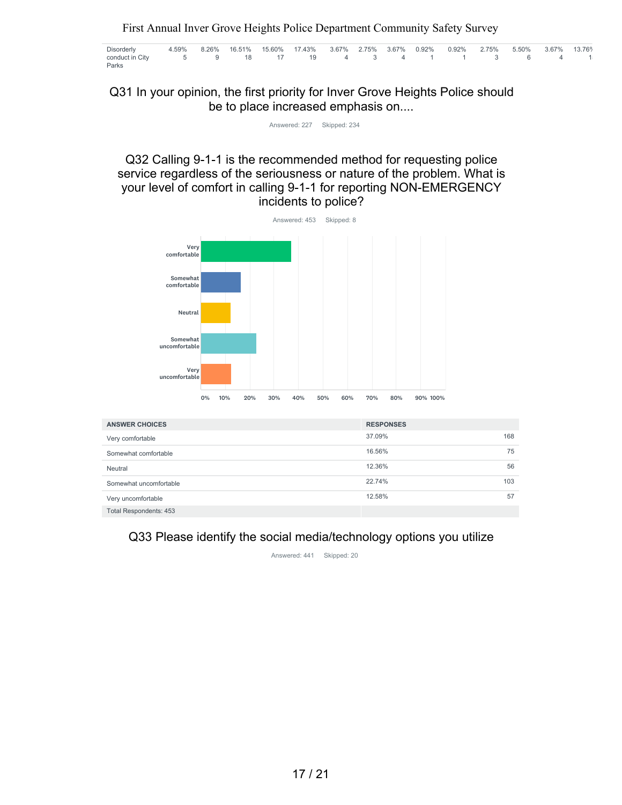| Disorderly                                     |  |  | 4.59% 8.26% 16.51% 15.60% 17.43% 3.67% 2.75% 3.67% 0.92% 0.92% 2.75% 5.50% 3.67% 13.76% |  |  |  |  |  |
|------------------------------------------------|--|--|-----------------------------------------------------------------------------------------|--|--|--|--|--|
| conduct in City 5 9 18 17 19 4 3 4 1 1 3 6 4 1 |  |  |                                                                                         |  |  |  |  |  |
| Parks                                          |  |  |                                                                                         |  |  |  |  |  |

Q31 In your opinion, the first priority for Inver Grove Heights Police should be to place increased emphasis on....

Answered: 227 Skipped: 234

Q32 Calling 9-1-1 is the recommended method for requesting police service regardless of the seriousness or nature of the problem. What is your level of comfort in calling 9-1-1 for reporting NON-EMERGENCY incidents to police?



| <b>ANSWER CHOICES</b>  | <b>RESPONSES</b> |  |
|------------------------|------------------|--|
| Very comfortable       | 37.09%<br>168    |  |
| Somewhat comfortable   | 16.56%<br>75     |  |
| Neutral                | 12.36%<br>56     |  |
| Somewhat uncomfortable | 22.74%<br>103    |  |
| Very uncomfortable     | 12.58%<br>57     |  |
| Total Respondents: 453 |                  |  |

## Q33 Please identify the social media/technology options you utilize

Answered: 441 Skipped: 20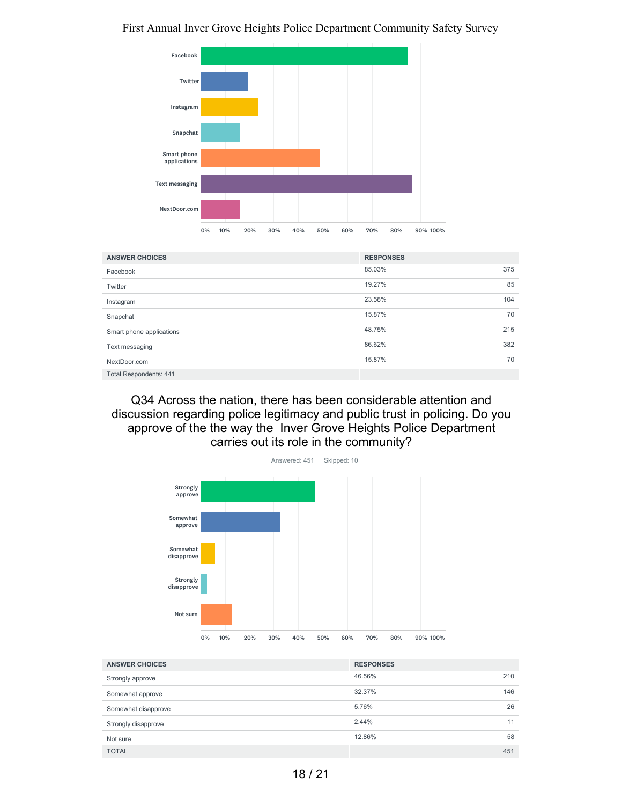

| <b>ANSWER CHOICES</b>         | <b>RESPONSES</b> |     |
|-------------------------------|------------------|-----|
| Facebook                      | 85.03%           | 375 |
| Twitter                       | 19.27%           | 85  |
| Instagram                     | 23.58%           | 104 |
| Snapchat                      | 15.87%           | 70  |
| Smart phone applications      | 48.75%           | 215 |
| Text messaging                | 86.62%           | 382 |
| NextDoor.com                  | 15.87%           | 70  |
| <b>Total Respondents: 441</b> |                  |     |

Q34 Across the nation, there has been considerable attention and discussion regarding police legitimacy and public trust in policing. Do you approve of the the way the Inver Grove Heights Police Department carries out its role in the community?



| <b>ANSWER CHOICES</b> | <b>RESPONSES</b> |     |
|-----------------------|------------------|-----|
| Strongly approve      | 46.56%           | 210 |
| Somewhat approve      | 32.37%           | 146 |
| Somewhat disapprove   | 5.76%            | 26  |
| Strongly disapprove   | 2.44%            | 11  |
| Not sure              | 12.86%           | 58  |
| <b>TOTAL</b>          |                  | 451 |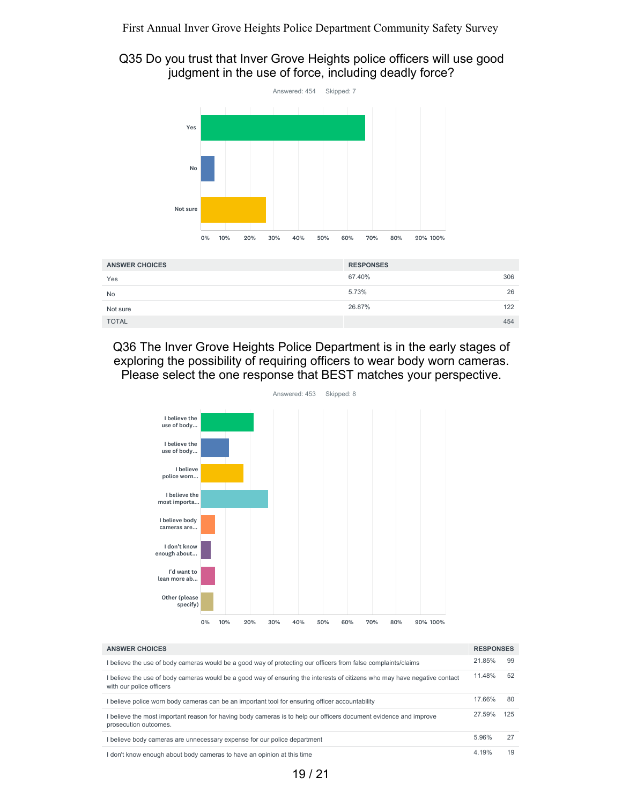## Q35 Do you trust that Inver Grove Heights police officers will use good judgment in the use of force, including deadly force?



| <b>ANSWER CHOICES</b> | <b>RESPONSES</b> |     |
|-----------------------|------------------|-----|
| Yes                   | 67.40%           | 306 |
| <b>No</b>             | 5.73%            | 26  |
| Not sure              | 26.87%           | 122 |
| <b>TOTAL</b>          |                  | 454 |

Q36 The Inver Grove Heights Police Department is in the early stages of exploring the possibility of requiring officers to wear body worn cameras. Please select the one response that BEST matches your perspective.



| <b>ANSWER CHOICES</b>                                                                                                                               | <b>RESPONSES</b> |     |
|-----------------------------------------------------------------------------------------------------------------------------------------------------|------------------|-----|
| believe the use of body cameras would be a good way of protecting our officers from false complaints/claims                                         | 21.85%           | 99  |
| believe the use of body cameras would be a good way of ensuring the interests of citizens who may have negative contact<br>with our police officers | 11.48%           | 52  |
| believe police worn body cameras can be an important tool for ensuring officer accountability                                                       | 17.66%           | 80  |
| believe the most important reason for having body cameras is to help our officers document evidence and improve<br>prosecution outcomes.            | 27.59%           | 125 |
| I believe body cameras are unnecessary expense for our police department                                                                            | 5.96%            | 27  |
| don't know enough about body cameras to have an opinion at this time                                                                                | 4.19%            | 19  |

19 / 21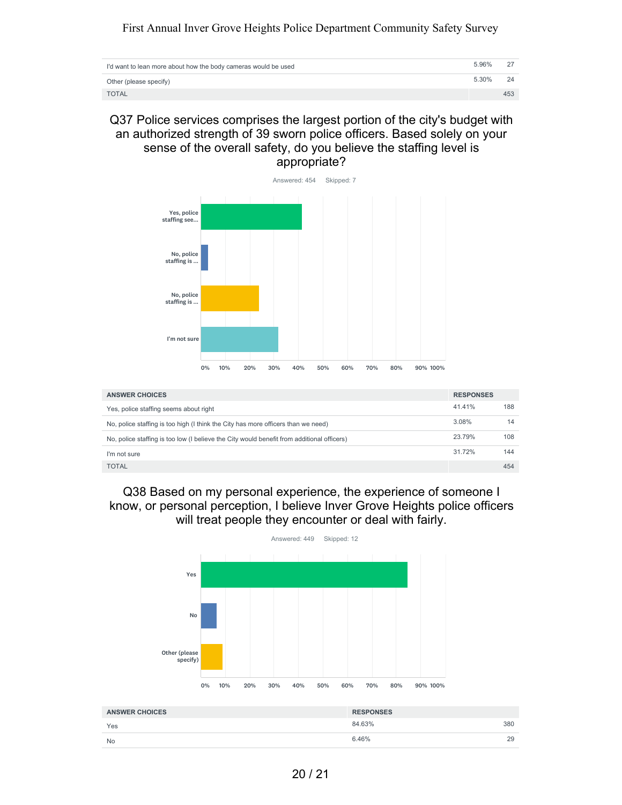| I'd want to lean more about how the body cameras would be used | 5.96% |     |
|----------------------------------------------------------------|-------|-----|
| Other (please specify)                                         | 5.30% | 24  |
| <b>TOTAL</b>                                                   |       | 453 |

Q37 Police services comprises the largest portion of the city's budget with an authorized strength of 39 sworn police officers. Based solely on your sense of the overall safety, do you believe the staffing level is appropriate?



| <b>ANSWER CHOICES</b>                                                                      | <b>RESPONSES</b> |     |
|--------------------------------------------------------------------------------------------|------------------|-----|
| Yes, police staffing seems about right                                                     | 41.41%           | 188 |
| No, police staffing is too high (I think the City has more officers than we need)          | 3.08%            | 14  |
| No, police staffing is too low (I believe the City would benefit from additional officers) | 23.79%           | 108 |
| I'm not sure                                                                               | 31.72%           | 144 |
| <b>TOTAL</b>                                                                               |                  | 454 |

Q38 Based on my personal experience, the experience of someone I know, or personal perception, I believe Inver Grove Heights police officers will treat people they encounter or deal with fairly.



| <b>ANSWER CHOICES</b> | <b>RESPONSES</b> |
|-----------------------|------------------|
| Yes                   | 380<br>84.63%    |
| <b>No</b>             | 29<br>6.46%      |